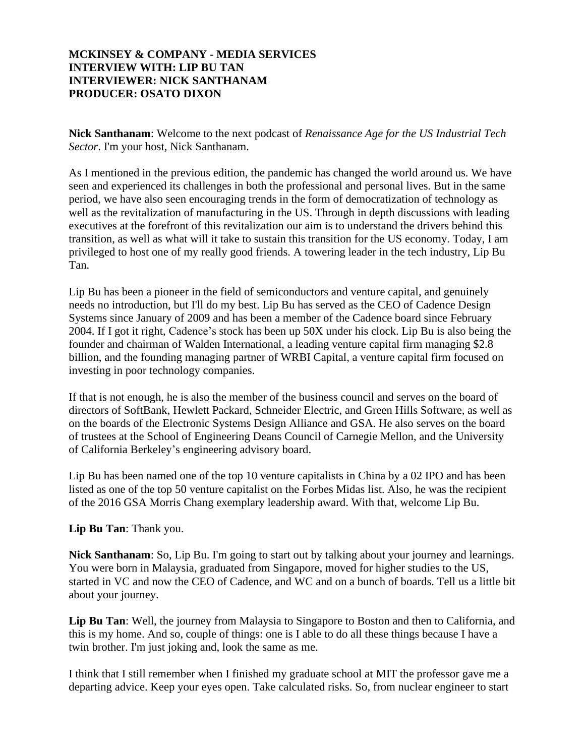## **MCKINSEY & COMPANY - MEDIA SERVICES INTERVIEW WITH: LIP BU TAN INTERVIEWER: NICK SANTHANAM PRODUCER: OSATO DIXON**

**Nick Santhanam**: Welcome to the next podcast of *Renaissance Age for the US Industrial Tech Sector*. I'm your host, Nick Santhanam.

As I mentioned in the previous edition, the pandemic has changed the world around us. We have seen and experienced its challenges in both the professional and personal lives. But in the same period, we have also seen encouraging trends in the form of democratization of technology as well as the revitalization of manufacturing in the US. Through in depth discussions with leading executives at the forefront of this revitalization our aim is to understand the drivers behind this transition, as well as what will it take to sustain this transition for the US economy. Today, I am privileged to host one of my really good friends. A towering leader in the tech industry, Lip Bu Tan.

Lip Bu has been a pioneer in the field of semiconductors and venture capital, and genuinely needs no introduction, but I'll do my best. Lip Bu has served as the CEO of Cadence Design Systems since January of 2009 and has been a member of the Cadence board since February 2004. If I got it right, Cadence's stock has been up 50X under his clock. Lip Bu is also being the founder and chairman of Walden International, a leading venture capital firm managing \$2.8 billion, and the founding managing partner of WRBI Capital, a venture capital firm focused on investing in poor technology companies.

If that is not enough, he is also the member of the business council and serves on the board of directors of SoftBank, Hewlett Packard, Schneider Electric, and Green Hills Software, as well as on the boards of the Electronic Systems Design Alliance and GSA. He also serves on the board of trustees at the School of Engineering Deans Council of Carnegie Mellon, and the University of California Berkeley's engineering advisory board.

Lip Bu has been named one of the top 10 venture capitalists in China by a 02 IPO and has been listed as one of the top 50 venture capitalist on the Forbes Midas list. Also, he was the recipient of the 2016 GSA Morris Chang exemplary leadership award. With that, welcome Lip Bu.

## **Lip Bu Tan**: Thank you.

**Nick Santhanam**: So, Lip Bu. I'm going to start out by talking about your journey and learnings. You were born in Malaysia, graduated from Singapore, moved for higher studies to the US, started in VC and now the CEO of Cadence, and WC and on a bunch of boards. Tell us a little bit about your journey.

**Lip Bu Tan**: Well, the journey from Malaysia to Singapore to Boston and then to California, and this is my home. And so, couple of things: one is I able to do all these things because I have a twin brother. I'm just joking and, look the same as me.

I think that I still remember when I finished my graduate school at MIT the professor gave me a departing advice. Keep your eyes open. Take calculated risks. So, from nuclear engineer to start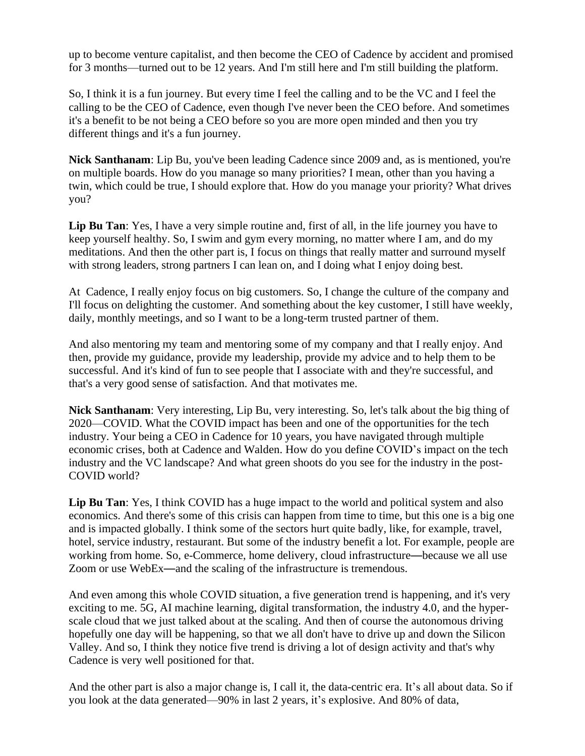up to become venture capitalist, and then become the CEO of Cadence by accident and promised for 3 months—turned out to be 12 years. And I'm still here and I'm still building the platform.

So, I think it is a fun journey. But every time I feel the calling and to be the VC and I feel the calling to be the CEO of Cadence, even though I've never been the CEO before. And sometimes it's a benefit to be not being a CEO before so you are more open minded and then you try different things and it's a fun journey.

**Nick Santhanam**: Lip Bu, you've been leading Cadence since 2009 and, as is mentioned, you're on multiple boards. How do you manage so many priorities? I mean, other than you having a twin, which could be true, I should explore that. How do you manage your priority? What drives you?

**Lip Bu Tan**: Yes, I have a very simple routine and, first of all, in the life journey you have to keep yourself healthy. So, I swim and gym every morning, no matter where I am, and do my meditations. And then the other part is, I focus on things that really matter and surround myself with strong leaders, strong partners I can lean on, and I doing what I enjoy doing best.

At Cadence, I really enjoy focus on big customers. So, I change the culture of the company and I'll focus on delighting the customer. And something about the key customer, I still have weekly, daily, monthly meetings, and so I want to be a long-term trusted partner of them.

And also mentoring my team and mentoring some of my company and that I really enjoy. And then, provide my guidance, provide my leadership, provide my advice and to help them to be successful. And it's kind of fun to see people that I associate with and they're successful, and that's a very good sense of satisfaction. And that motivates me.

**Nick Santhanam**: Very interesting, Lip Bu, very interesting. So, let's talk about the big thing of 2020—COVID. What the COVID impact has been and one of the opportunities for the tech industry. Your being a CEO in Cadence for 10 years, you have navigated through multiple economic crises, both at Cadence and Walden. How do you define COVID's impact on the tech industry and the VC landscape? And what green shoots do you see for the industry in the post-COVID world?

**Lip Bu Tan**: Yes, I think COVID has a huge impact to the world and political system and also economics. And there's some of this crisis can happen from time to time, but this one is a big one and is impacted globally. I think some of the sectors hurt quite badly, like, for example, travel, hotel, service industry, restaurant. But some of the industry benefit a lot. For example, people are working from home. So, e-Commerce, home delivery, cloud infrastructure—because we all use Zoom or use WebEx—and the scaling of the infrastructure is tremendous.

And even among this whole COVID situation, a five generation trend is happening, and it's very exciting to me. 5G, AI machine learning, digital transformation, the industry 4.0, and the hyperscale cloud that we just talked about at the scaling. And then of course the autonomous driving hopefully one day will be happening, so that we all don't have to drive up and down the Silicon Valley. And so, I think they notice five trend is driving a lot of design activity and that's why Cadence is very well positioned for that.

And the other part is also a major change is, I call it, the data-centric era. It's all about data. So if you look at the data generated—90% in last 2 years, it's explosive. And 80% of data,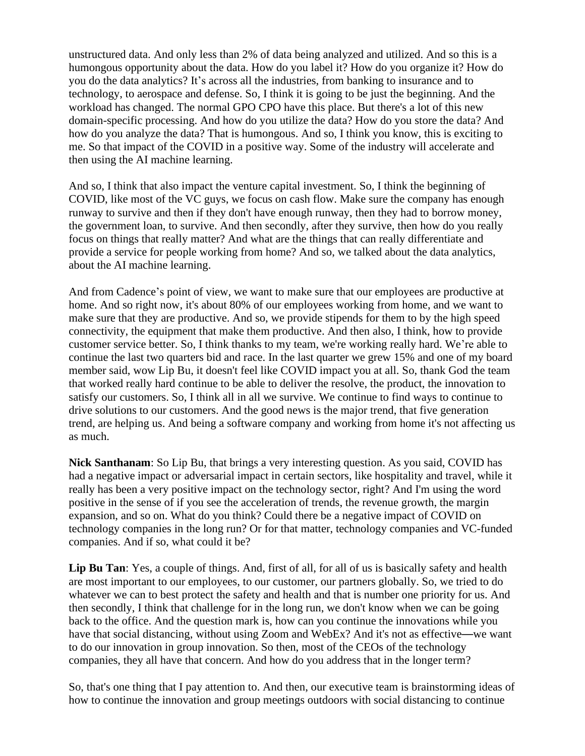unstructured data. And only less than 2% of data being analyzed and utilized. And so this is a humongous opportunity about the data. How do you label it? How do you organize it? How do you do the data analytics? It's across all the industries, from banking to insurance and to technology, to aerospace and defense. So, I think it is going to be just the beginning. And the workload has changed. The normal GPO CPO have this place. But there's a lot of this new domain-specific processing. And how do you utilize the data? How do you store the data? And how do you analyze the data? That is humongous. And so, I think you know, this is exciting to me. So that impact of the COVID in a positive way. Some of the industry will accelerate and then using the AI machine learning.

And so, I think that also impact the venture capital investment. So, I think the beginning of COVID, like most of the VC guys, we focus on cash flow. Make sure the company has enough runway to survive and then if they don't have enough runway, then they had to borrow money, the government loan, to survive. And then secondly, after they survive, then how do you really focus on things that really matter? And what are the things that can really differentiate and provide a service for people working from home? And so, we talked about the data analytics, about the AI machine learning.

And from Cadence's point of view, we want to make sure that our employees are productive at home. And so right now, it's about 80% of our employees working from home, and we want to make sure that they are productive. And so, we provide stipends for them to by the high speed connectivity, the equipment that make them productive. And then also, I think, how to provide customer service better. So, I think thanks to my team, we're working really hard. We're able to continue the last two quarters bid and race. In the last quarter we grew 15% and one of my board member said, wow Lip Bu, it doesn't feel like COVID impact you at all. So, thank God the team that worked really hard continue to be able to deliver the resolve, the product, the innovation to satisfy our customers. So, I think all in all we survive. We continue to find ways to continue to drive solutions to our customers. And the good news is the major trend, that five generation trend, are helping us. And being a software company and working from home it's not affecting us as much.

**Nick Santhanam**: So Lip Bu, that brings a very interesting question. As you said, COVID has had a negative impact or adversarial impact in certain sectors, like hospitality and travel, while it really has been a very positive impact on the technology sector, right? And I'm using the word positive in the sense of if you see the acceleration of trends, the revenue growth, the margin expansion, and so on. What do you think? Could there be a negative impact of COVID on technology companies in the long run? Or for that matter, technology companies and VC-funded companies. And if so, what could it be?

**Lip Bu Tan**: Yes, a couple of things. And, first of all, for all of us is basically safety and health are most important to our employees, to our customer, our partners globally. So, we tried to do whatever we can to best protect the safety and health and that is number one priority for us. And then secondly, I think that challenge for in the long run, we don't know when we can be going back to the office. And the question mark is, how can you continue the innovations while you have that social distancing, without using Zoom and WebEx? And it's not as effective—we want to do our innovation in group innovation. So then, most of the CEOs of the technology companies, they all have that concern. And how do you address that in the longer term?

So, that's one thing that I pay attention to. And then, our executive team is brainstorming ideas of how to continue the innovation and group meetings outdoors with social distancing to continue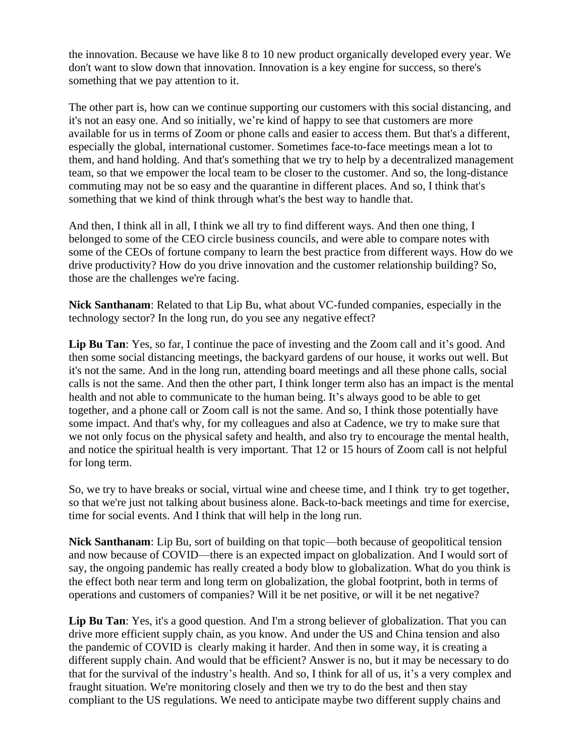the innovation. Because we have like 8 to 10 new product organically developed every year. We don't want to slow down that innovation. Innovation is a key engine for success, so there's something that we pay attention to it.

The other part is, how can we continue supporting our customers with this social distancing, and it's not an easy one. And so initially, we're kind of happy to see that customers are more available for us in terms of Zoom or phone calls and easier to access them. But that's a different, especially the global, international customer. Sometimes face-to-face meetings mean a lot to them, and hand holding. And that's something that we try to help by a decentralized management team, so that we empower the local team to be closer to the customer. And so, the long-distance commuting may not be so easy and the quarantine in different places. And so, I think that's something that we kind of think through what's the best way to handle that.

And then, I think all in all, I think we all try to find different ways. And then one thing, I belonged to some of the CEO circle business councils, and were able to compare notes with some of the CEOs of fortune company to learn the best practice from different ways. How do we drive productivity? How do you drive innovation and the customer relationship building? So, those are the challenges we're facing.

**Nick Santhanam**: Related to that Lip Bu, what about VC-funded companies, especially in the technology sector? In the long run, do you see any negative effect?

Lip Bu Tan: Yes, so far, I continue the pace of investing and the Zoom call and it's good. And then some social distancing meetings, the backyard gardens of our house, it works out well. But it's not the same. And in the long run, attending board meetings and all these phone calls, social calls is not the same. And then the other part, I think longer term also has an impact is the mental health and not able to communicate to the human being. It's always good to be able to get together, and a phone call or Zoom call is not the same. And so, I think those potentially have some impact. And that's why, for my colleagues and also at Cadence, we try to make sure that we not only focus on the physical safety and health, and also try to encourage the mental health, and notice the spiritual health is very important. That 12 or 15 hours of Zoom call is not helpful for long term.

So, we try to have breaks or social, virtual wine and cheese time, and I think try to get together, so that we're just not talking about business alone. Back-to-back meetings and time for exercise, time for social events. And I think that will help in the long run.

**Nick Santhanam**: Lip Bu, sort of building on that topic—both because of geopolitical tension and now because of COVID—there is an expected impact on globalization. And I would sort of say, the ongoing pandemic has really created a body blow to globalization. What do you think is the effect both near term and long term on globalization, the global footprint, both in terms of operations and customers of companies? Will it be net positive, or will it be net negative?

Lip Bu Tan: Yes, it's a good question. And I'm a strong believer of globalization. That you can drive more efficient supply chain, as you know. And under the US and China tension and also the pandemic of COVID is clearly making it harder. And then in some way, it is creating a different supply chain. And would that be efficient? Answer is no, but it may be necessary to do that for the survival of the industry's health. And so, I think for all of us, it's a very complex and fraught situation. We're monitoring closely and then we try to do the best and then stay compliant to the US regulations. We need to anticipate maybe two different supply chains and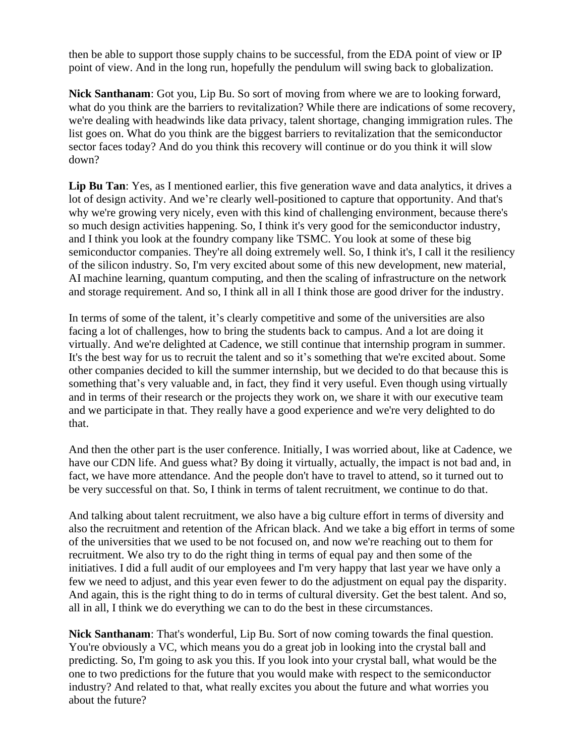then be able to support those supply chains to be successful, from the EDA point of view or IP point of view. And in the long run, hopefully the pendulum will swing back to globalization.

**Nick Santhanam**: Got you, Lip Bu. So sort of moving from where we are to looking forward, what do you think are the barriers to revitalization? While there are indications of some recovery, we're dealing with headwinds like data privacy, talent shortage, changing immigration rules. The list goes on. What do you think are the biggest barriers to revitalization that the semiconductor sector faces today? And do you think this recovery will continue or do you think it will slow down?

**Lip Bu Tan**: Yes, as I mentioned earlier, this five generation wave and data analytics, it drives a lot of design activity. And we're clearly well-positioned to capture that opportunity. And that's why we're growing very nicely, even with this kind of challenging environment, because there's so much design activities happening. So, I think it's very good for the semiconductor industry, and I think you look at the foundry company like TSMC. You look at some of these big semiconductor companies. They're all doing extremely well. So, I think it's, I call it the resiliency of the silicon industry. So, I'm very excited about some of this new development, new material, AI machine learning, quantum computing, and then the scaling of infrastructure on the network and storage requirement. And so, I think all in all I think those are good driver for the industry.

In terms of some of the talent, it's clearly competitive and some of the universities are also facing a lot of challenges, how to bring the students back to campus. And a lot are doing it virtually. And we're delighted at Cadence, we still continue that internship program in summer. It's the best way for us to recruit the talent and so it's something that we're excited about. Some other companies decided to kill the summer internship, but we decided to do that because this is something that's very valuable and, in fact, they find it very useful. Even though using virtually and in terms of their research or the projects they work on, we share it with our executive team and we participate in that. They really have a good experience and we're very delighted to do that.

And then the other part is the user conference. Initially, I was worried about, like at Cadence, we have our CDN life. And guess what? By doing it virtually, actually, the impact is not bad and, in fact, we have more attendance. And the people don't have to travel to attend, so it turned out to be very successful on that. So, I think in terms of talent recruitment, we continue to do that.

And talking about talent recruitment, we also have a big culture effort in terms of diversity and also the recruitment and retention of the African black. And we take a big effort in terms of some of the universities that we used to be not focused on, and now we're reaching out to them for recruitment. We also try to do the right thing in terms of equal pay and then some of the initiatives. I did a full audit of our employees and I'm very happy that last year we have only a few we need to adjust, and this year even fewer to do the adjustment on equal pay the disparity. And again, this is the right thing to do in terms of cultural diversity. Get the best talent. And so, all in all, I think we do everything we can to do the best in these circumstances.

**Nick Santhanam**: That's wonderful, Lip Bu. Sort of now coming towards the final question. You're obviously a VC, which means you do a great job in looking into the crystal ball and predicting. So, I'm going to ask you this. If you look into your crystal ball, what would be the one to two predictions for the future that you would make with respect to the semiconductor industry? And related to that, what really excites you about the future and what worries you about the future?